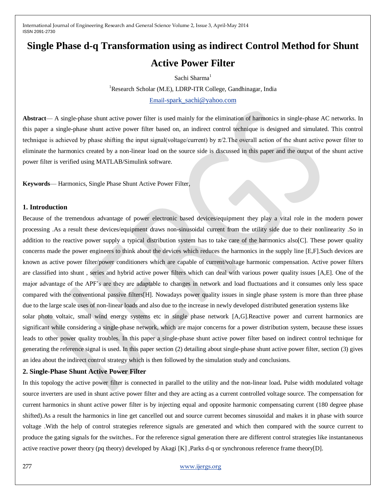# **Single Phase d-q Transformation using as indirect Control Method for Shunt Active Power Filter**

Sachi Sharma 1

<sup>1</sup>Research Scholar (M.E), LDRP-ITR College, Gandhinagar, India

Email-[spark\\_sachi@yahoo.com](mailto:Email-spark_sachi@yahoo.com)

**Abstract**— A single-phase shunt active power filter is used mainly for the elimination of harmonics in single-phase AC networks. In this paper a single-phase shunt active power filter based on, an indirect control technique is designed and simulated. This control technique is achieved by phase shifting the input signal(voltage/current) by  $\pi/2$ . The overall action of the shunt active power filter to eliminate the harmonics created by a non-linear load on the source side is discussed in this paper and the output of the shunt active power filter is verified using MATLAB/Simulink software.

**Keywords**— Harmonics, Single Phase Shunt Active Power Filter,

### **1. Introduction**

Because of the tremendous advantage of power electronic based devices/equipment they play a vital role in the modern power processing .As a result these devices/equipment draws non-sinusoidal current from the utility side due to their nonlinearity .So in addition to the reactive power supply a typical distribution system has to take care of the harmonics also[C]. These power quality concerns made the power engineers to think about the devices which reduces the harmonics in the supply line [E,F].Such devices are known as active power filter/power conditioners which are capable of current/voltage harmonic compensation. Active power filters are classified into shunt , series and hybrid active power filters which can deal with various power quality issues [A,E]. One of the major advantage of the APF's are they are adaptable to changes in network and load fluctuations and it consumes only less space compared with the conventional passive filters[H]. Nowadays power quality issues in single phase system is more than three phase due to the large scale uses of non-linear loads and also due to the increase in newly developed distributed generation systems like

solar photo voltaic, small wind energy systems etc in single phase network [A,G].Reactive power and current harmonics are significant while considering a single-phase network, which are major concerns for a power distribution system, because these issues leads to other power quality troubles. In this paper a single-phase shunt active power filter based on indirect control technique for generating the reference signal is used. In this paper section (2) detailing about single-phase shunt active power filter, section (3) gives an idea about the indirect control strategy which is then followed by the simulation study and conclusions.

# **2. Single-Phase Shunt Active Power Filter**

In this topology the active power filter is connected in parallel to the utility and the non-linear load**.** Pulse width modulated voltage source inverters are used in shunt active power filter and they are acting as a current controlled voltage source. The compensation for current harmonics in shunt active power filter is by injecting equal and opposite harmonic compensating current (180 degree phase shifted).As a result the harmonics in line get cancelled out and source current becomes sinusoidal and makes it in phase with source voltage .With the help of control strategies reference signals are generated and which then compared with the source current to produce the gating signals for the switches.. For the reference signal generation there are different control strategies like instantaneous active reactive power theory (pq theory) developed by Akagi [K] ,Parks d-q or synchronous reference frame theory[D].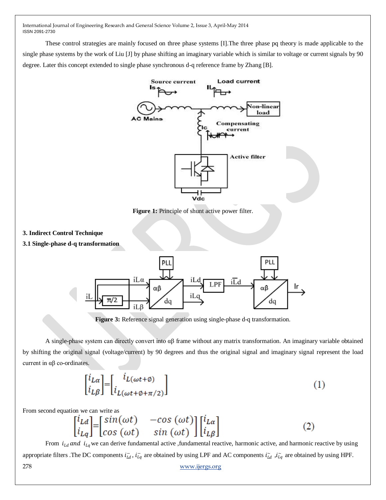These control strategies are mainly focused on three phase systems [I].The three phase pq theory is made applicable to the single phase systems by the work of Liu [J] by phase shifting an imaginary variable which is similar to voltage or current signals by 90 degree. Later this concept extended to single phase synchronous d-q reference frame by Zhang [B].



**Figure 1:** Principle of shunt active power filter.

# **3. Indirect Control Technique**

## **3.1 Single-phase d-q transformation**



**Figure 3:** Reference signal generation using single-phase d-q transformation.

A single-phase system can directly convert into  $\alpha\beta$  frame without any matrix transformation. An imaginary variable obtained by shifting the original signal (voltage/current) by 90 degrees and thus the original signal and imaginary signal represent the load current in αβ co-ordinates.

$$
\begin{bmatrix} i_{L\alpha} \\ i_{L\beta} \end{bmatrix} = \begin{bmatrix} i_{L(\omega t + \emptyset)} \\ i_{L(\omega t + \emptyset + \pi/2)} \end{bmatrix}
$$
 (1)

From second equation we can write as

$$
\begin{bmatrix} i_{Ld} \\ i_{Lq} \end{bmatrix} = \begin{bmatrix} sin(\omega t) & -cos(\omega t) \\ cos(\omega t) & sin(\omega t) \end{bmatrix} \begin{bmatrix} i_{L\alpha} \\ i_{L\beta} \end{bmatrix}
$$
 (2)

278 [www.ijergs.org](http://www.ijergs.org/) From  $i_{Ld}$  and  $i_{Lq}$  we can derive fundamental active ,fundamental reactive, harmonic active, and harmonic reactive by using appropriate filters . The DC components  $i_{Ld}^-$ ,  $i_{Lq}^-$  are obtained by using LPF and AC components  $i_{Ld}^-$ ,  $i_{Lq}^-$  are obtained by using HPF.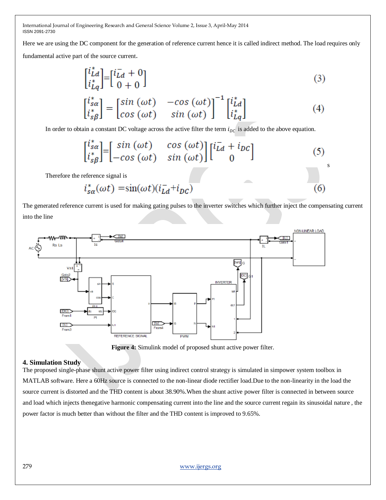Here we are using the DC component for the generation of reference current hence it is called indirect method. The load requires only

fundamental active part of the source current.

$$
\begin{bmatrix} i_{Ld}^* \\ i_{Lq}^* \end{bmatrix} = \begin{bmatrix} i_{Ld}^- + 0 \\ 0 + 0 \end{bmatrix} \tag{3}
$$

$$
\begin{bmatrix} i_{sa}^* \\ i_{s\beta}^* \end{bmatrix} = \begin{bmatrix} \sin(\omega t) & -\cos(\omega t) \\ \cos(\omega t) & \sin(\omega t) \end{bmatrix}^{-1} \begin{bmatrix} i_{Ld}^* \\ i_{Lq}^* \end{bmatrix}
$$
(4)

In order to obtain a constant DC voltage across the active filter the term  $i_{\text{DC}}$  is added to the above equation.

$$
\begin{bmatrix} i_{s\alpha}^* \\ i_{s\beta}^* \end{bmatrix} = \begin{bmatrix} \sin(\omega t) & \cos(\omega t) \\ -\cos(\omega t) & \sin(\omega t) \end{bmatrix} \begin{bmatrix} i_{Ld}^- + i_{Dc} \\ 0 \end{bmatrix}
$$
 (5)

s

Therefore the reference signal is

$$
i_{sa}^*(\omega t) = \sin(\omega t)(i_{Ld}^- + i_{DC})
$$
 (6)

The generated reference current is used for making gating pulses to the inverter switches which further inject the compensating current into the line



**Figure 4:** Simulink model of proposed shunt active power filter.

### **4. Simulation Study**

The proposed single-phase shunt active power filter using indirect control strategy is simulated in simpower system toolbox in MATLAB software. Here a 60Hz source is connected to the non-linear diode rectifier load.Due to the non-linearity in the load the source current is distorted and the THD content is about 38.90%.When the shunt active power filter is connected in between source and load which injects thenegative harmonic compensating current into the line and the source current regain its sinusoidal nature , the power factor is much better than without the filter and the THD content is improved to 9.65%.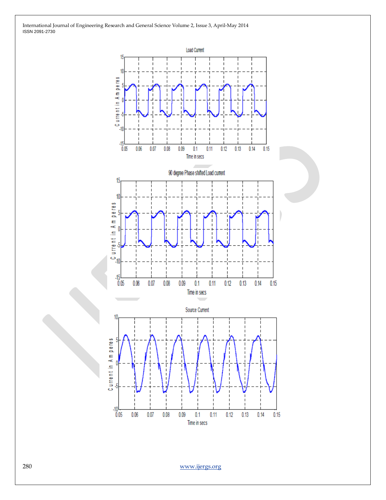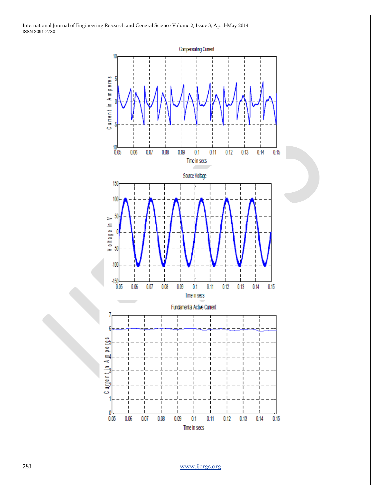International Journal of Engineering Research and General Science Volume 2, Issue 3, April-May 2014 ISSN 2091-2730

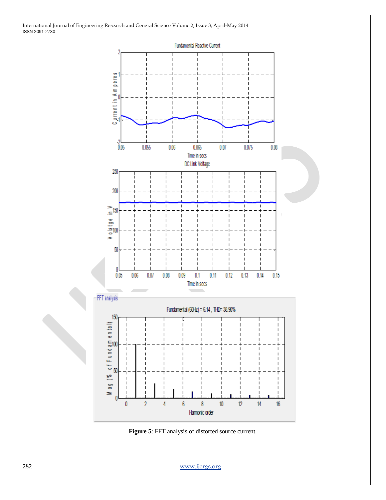

Figure 5: FFT analysis of distorted source current.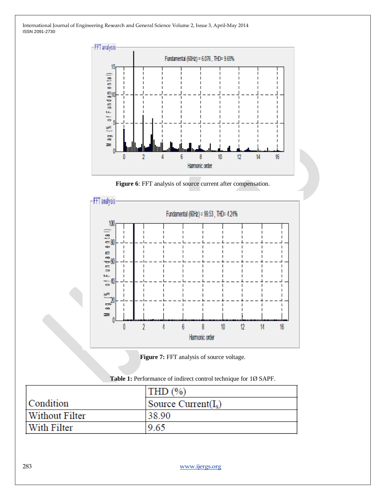

**Figure 6**: FFT analysis of source current after compensation.



Figure 7: FFT analysis of source voltage.

**Table 1:** Performance of indirect control technique for 1Ø SAPF.

|                       | THD (%)                |
|-----------------------|------------------------|
| Condition             | Source Current $(I_s)$ |
| <b>Without Filter</b> | 38.90                  |
| With Filter           | 9.65                   |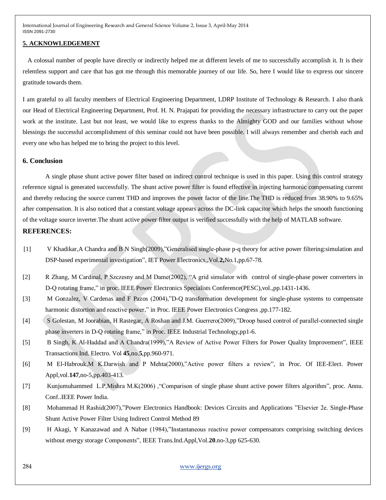#### **5. ACKNOWLEDGEMENT**

 A colossal number of people have directly or indirectly helped me at different levels of me to successfully accomplish it. It is their relentless support and care that has got me through this memorable journey of our life. So, here I would like to express our sincere gratitude towards them.

I am grateful to all faculty members of Electrical Engineering Department, LDRP Institute of Technology & Research. I also thank our Head of Electrical Engineering Department, Prof. H. N. Prajapati for providing the necessary infrastructure to carry out the paper work at the institute. Last but not least, we would like to express thanks to the Almighty GOD and our families without whose blessings the successful accomplishment of this seminar could not have been possible. I will always remember and cherish each and every one who has helped me to bring the project to this level.

#### **6. Conclusion**

A single phase shunt active power filter based on indirect control technique is used in this paper. Using this control strategy reference signal is generated successfully. The shunt active power filter is found effective in injecting harmonic compensating current and thereby reducing the source current THD and improves the power factor of the line.The THD is reduced from 38.90% to 9.65% after compensation. It is also noticed that a constant voltage appears across the DC-link capacitor which helps the smooth functioning of the voltage source inverter.The shunt active power filter output is verified successfully with the help of MATLAB software.

# **REFERENCES:**

- [1] V Khadikar, A Chandra and B N Singh(2009), "Generalised single-phase p-q theory for active power filtering: simulation and DSP-based experimental investigation‖, IET Power Electronics,,Vol.**2,**No.1,pp.67-78.
- [2] R Zhang, M Cardinal, P Szczesny and M Dame(2002), "A grid simulator with control of single-phase power converters in D-Q rotating frame," in proc. IEEE Power Electronics Specialists Conference(PESC),vol.,pp.1431-1436.
- [3] M Gonzalez, V Cardenas and F Pazos (2004), "D-Q transformation development for single-phase systems to compensate harmonic distortion and reactive power," in Proc. IEEE Power Electronics Congress ,pp.177-182.
- [4] S Golestan, M Joorabian, H Rastegar, A Roshan and J.M. Guerrero(2009), "Droop based control of parallel-connected single phase inverters in D-Q rotating frame," in Proc. IEEE Industrial Technology,pp1-6.
- [5] B Singh, K Al-Haddad and A Chandra(1999),"A Review of Active Power Filters for Power Quality Improvement", IEEE Transactions Ind. Electro. Vol **45**,no.**5**,pp.960-971.
- [6] M El-Habrouk, M K.Darwish and P Mehta(2000),"Active power filters a review", in Proc. Of IEE-Elect. Power Appl,vol.**147**,no-5,pp.403-413.
- [7] Kunjumuhammed L.P,Mishra M.K(2006) , "Comparison of single phase shunt active power filters algorithm", proc. Annu. Conf..IEEE Power India.
- [8] Mohammad H Rashid(2007), "Power Electronics Handbook: Devices Circuits and Applications "Elsevier 2e. Single-Phase Shunt Active Power Filter Using Indirect Control Method 89
- [9] H Akagi, Y Kanazawad and A Nabae (1984), "Instantaneous reactive power compensators comprising switching devices without energy storage Components", IEEE Trans.Ind.Appl,Vol.20.no-3,pp 625-630.